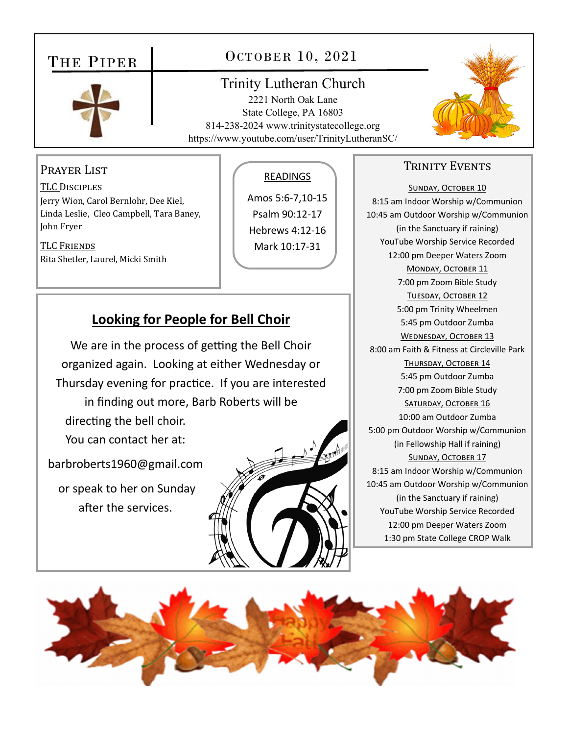# THE PIPER

## OCTOBER 10, 2021

## Trinity Lutheran Church

2221 North Oak Lane State College, PA 16803 814-238-2024 www.trinitystatecollege.org https://www.youtube.com/user/TrinityLutheranSC/



## PRAYER LIST

TLC DISCIPLES Jerry Wion, Carol Bernlohr, Dee Kiel, Linda Leslie, Cleo Campbell, Tara Baney, John Fryer

TLC FRIENDS Rita Shetler, Laurel, Micki Smith

#### READINGS

Amos 5:6‐7,10‐15 Psalm 90:12‐17 Hebrews 4:12‐16 Mark 10:17‐31

## **Looking for People for Bell Choir**

We are in the process of getting the Bell Choir organized again. Looking at either Wednesday or Thursday evening for practice. If you are interested in finding out more, Barb Roberts will be directing the bell choir. You can contact her at:

barbroberts1960@gmail.com

or speak to her on Sunday after the services.



### TRINITY EVENTS

SUNDAY, OCTOBER 10 8:15 am Indoor Worship w/Communion 10:45 am Outdoor Worship w/Communion (in the Sanctuary if raining) YouTube Worship Service Recorded 12:00 pm Deeper Waters Zoom MONDAY, OCTOBER 11 7:00 pm Zoom Bible Study TUESDAY, OCTOBER 12 5:00 pm Trinity Wheelmen 5:45 pm Outdoor Zumba WEDNESDAY, OCTOBER 13 8:00 am Faith & Fitness at Circleville Park THURSDAY, OCTOBER 14 5:45 pm Outdoor Zumba 7:00 pm Zoom Bible Study SATURDAY, OCTOBER 16 10:00 am Outdoor Zumba 5:00 pm Outdoor Worship w/Communion (in Fellowship Hall if raining) SUNDAY, OCTOBER 17 8:15 am Indoor Worship w/Communion 10:45 am Outdoor Worship w/Communion (in the Sanctuary if raining) YouTube Worship Service Recorded 12:00 pm Deeper Waters Zoom 1:30 pm State College CROP Walk